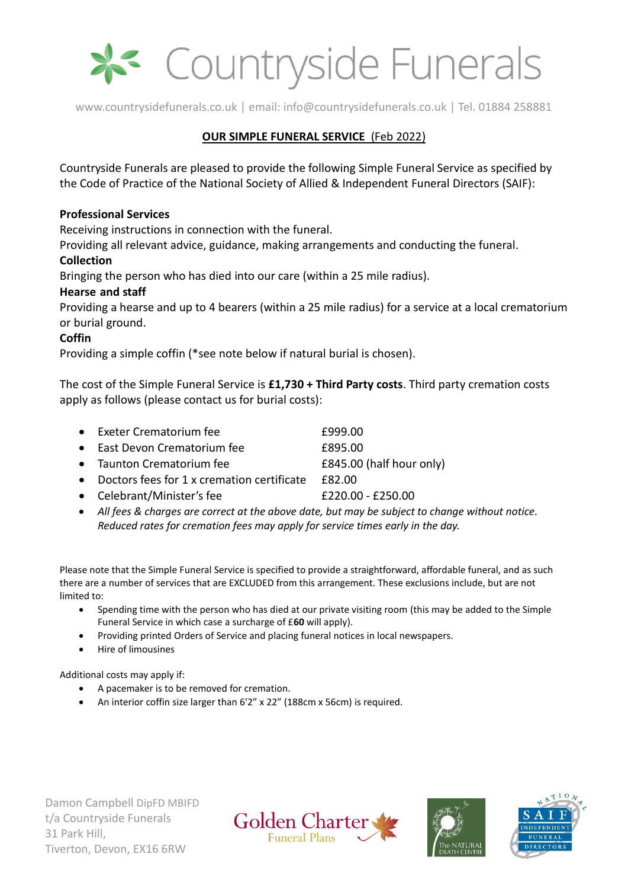

www.countrysidefunerals.co.uk | email: info@countrysidefunerals.co.uk | Tel. 01884 258881

## **OUR SIMPLE FUNERAL SERVICE** (Feb 2022)

Countryside Funerals are pleased to provide the following Simple Funeral Service as specified by the Code of Practice of the National Society of Allied & Independent Funeral Directors (SAIF):

## **Professional Services**

Receiving instructions in connection with the funeral.

Providing all relevant advice, guidance, making arrangements and conducting the funeral.

## **Collection**

Bringing the person who has died into our care (within a 25 mile radius).

### **Hearse and staff**

Providing a hearse and up to 4 bearers (within a 25 mile radius) for a service at a local crematorium or burial ground.

### **Coffin**

Providing a simple coffin (\*see note below if natural burial is chosen).

The cost of the Simple Funeral Service is **£1,730 + Third Party costs**. Third party cremation costs apply as follows (please contact us for burial costs):

|  | Exeter Crematorium fee |  |  | £999.00  |
|--|------------------------|--|--|----------|
|  |                        |  |  | $\cdots$ |

• East Devon Crematorium fee F895.00

• Taunton Crematorium fee **E845.00** (half hour only)

- Doctors fees for 1 x cremation certificate £82.00
- Celebrant/Minister's fee <br>
£220.00 £250.00
- *All fees & charges are correct at the above date, but may be subject to change without notice. Reduced rates for cremation fees may apply for service times early in the day.*

Please note that the Simple Funeral Service is specified to provide a straightforward, affordable funeral, and as such there are a number of services that are EXCLUDED from this arrangement. These exclusions include, but are not limited to:

- Spending time with the person who has died at our private visiting room (this may be added to the Simple Funeral Service in which case a surcharge of £**60** will apply).
- Providing printed Orders of Service and placing funeral notices in local newspapers.
- Hire of limousines

Additional costs may apply if:

- A pacemaker is to be removed for cremation.
- An interior coffin size larger than 6'2" x 22" (188cm x 56cm) is required.

Damon Campbell DipFD MBIFD t/a Countryside Funerals 31 Park Hill, Tiverton, Devon, EX16 6RW





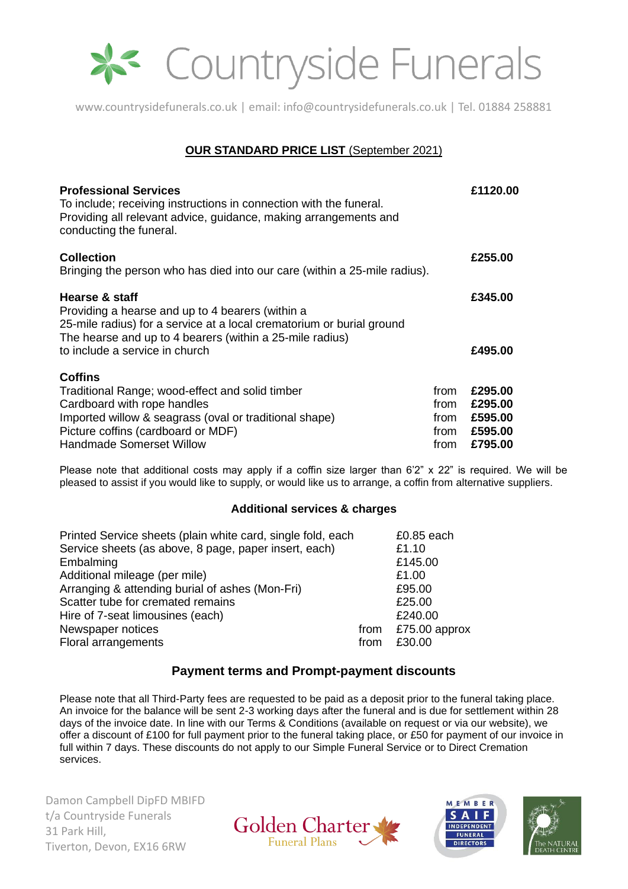

www.countrysidefunerals.co.uk | email: info@countrysidefunerals.co.uk | Tel. 01884 258881

## **OUR STANDARD PRICE LIST** (September 2021)

| <b>Professional Services</b><br>To include; receiving instructions in connection with the funeral.<br>Providing all relevant advice, guidance, making arrangements and<br>conducting the funeral.                                                    |                      | £1120.00                                                      |
|------------------------------------------------------------------------------------------------------------------------------------------------------------------------------------------------------------------------------------------------------|----------------------|---------------------------------------------------------------|
| <b>Collection</b><br>Bringing the person who has died into our care (within a 25-mile radius).                                                                                                                                                       |                      | £255.00                                                       |
| <b>Hearse &amp; staff</b><br>Providing a hearse and up to 4 bearers (within a<br>25-mile radius) for a service at a local crematorium or burial ground<br>The hearse and up to 4 bearers (within a 25-mile radius)<br>to include a service in church |                      | £345.00<br>£495.00                                            |
| <b>Coffins</b><br>Traditional Range; wood-effect and solid timber<br>Cardboard with rope handles<br>Imported willow & seagrass (oval or traditional shape)<br>Picture coffins (cardboard or MDF)<br><b>Handmade Somerset Willow</b>                  | from<br>from<br>from | £295.00<br>£295.00<br>from £595.00<br>from £595.00<br>£795.00 |

Please note that additional costs may apply if a coffin size larger than 6'2" x 22" is required. We will be pleased to assist if you would like to supply, or would like us to arrange, a coffin from alternative suppliers.

#### **Additional services & charges**

|      | £0.85 each                                                  |
|------|-------------------------------------------------------------|
|      | £1.10                                                       |
|      | £145.00                                                     |
|      | £1.00                                                       |
|      | £95.00                                                      |
|      | £25.00                                                      |
|      | £240.00                                                     |
| from | £75.00 approx                                               |
| from | £30.00                                                      |
|      | Printed Service sheets (plain white card, single fold, each |

# **Payment terms and Prompt-payment discounts**

Please note that all Third-Party fees are requested to be paid as a deposit prior to the funeral taking place. An invoice for the balance will be sent 2-3 working days after the funeral and is due for settlement within 28 days of the invoice date. In line with our Terms & Conditions (available on request or via our website), we offer a discount of £100 for full payment prior to the funeral taking place, or £50 for payment of our invoice in full within 7 days. These discounts do not apply to our Simple Funeral Service or to Direct Cremation services.

Damon Campbell DipFD MBIFD t/a Countryside Funerals 31 Park Hill, Tiverton, Devon, EX16 6RW